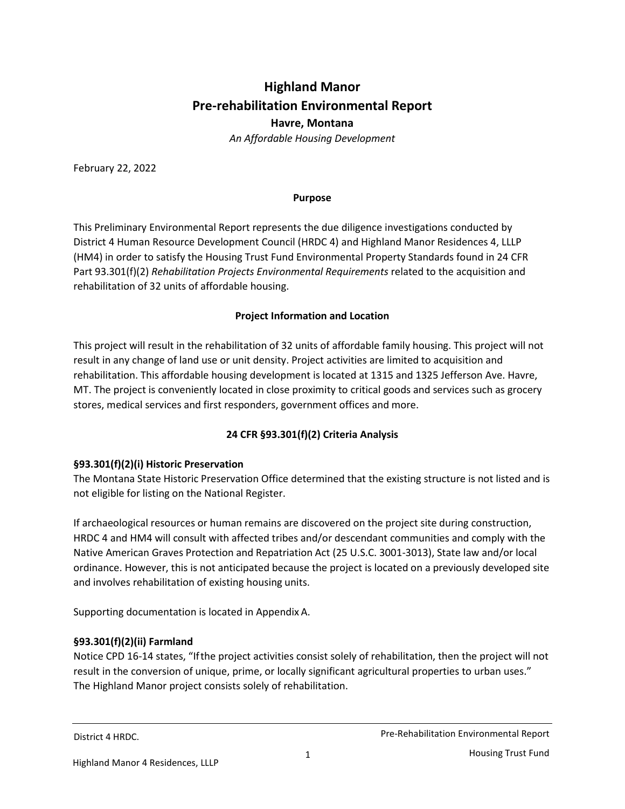# **Highland Manor Pre-rehabilitation Environmental Report Havre, Montana** *An Affordable Housing Development*

February 22, 2022

#### **Purpose**

This Preliminary Environmental Report represents the due diligence investigations conducted by District 4 Human Resource Development Council (HRDC 4) and Highland Manor Residences 4, LLLP (HM4) in order to satisfy the Housing Trust Fund Environmental Property Standards found in 24 CFR Part 93.301(f)(2) *Rehabilitation Projects Environmental Requirements* related to the acquisition and rehabilitation of 32 units of affordable housing.

### **Project Information and Location**

This project will result in the rehabilitation of 32 units of affordable family housing. This project will not result in any change of land use or unit density. Project activities are limited to acquisition and rehabilitation. This affordable housing development is located at 1315 and 1325 Jefferson Ave. Havre, MT. The project is conveniently located in close proximity to critical goods and services such as grocery stores, medical services and first responders, government offices and more.

# **24 CFR §93.301(f)(2) Criteria Analysis**

# **§93.301(f)(2)(i) Historic Preservation**

The Montana State Historic Preservation Office determined that the existing structure is not listed and is not eligible for listing on the National Register.

If archaeological resources or human remains are discovered on the project site during construction, HRDC 4 and HM4 will consult with affected tribes and/or descendant communities and comply with the Native American Graves Protection and Repatriation Act (25 U.S.C. 3001-3013), State law and/or local ordinance. However, this is not anticipated because the project is located on a previously developed site and involves rehabilitation of existing housing units.

Supporting documentation is located in Appendix A.

# **§93.301(f)(2)(ii) Farmland**

Notice CPD 16-14 states, "Ifthe project activities consist solely of rehabilitation, then the project will not result in the conversion of unique, prime, or locally significant agricultural properties to urban uses." The Highland Manor project consists solely of rehabilitation.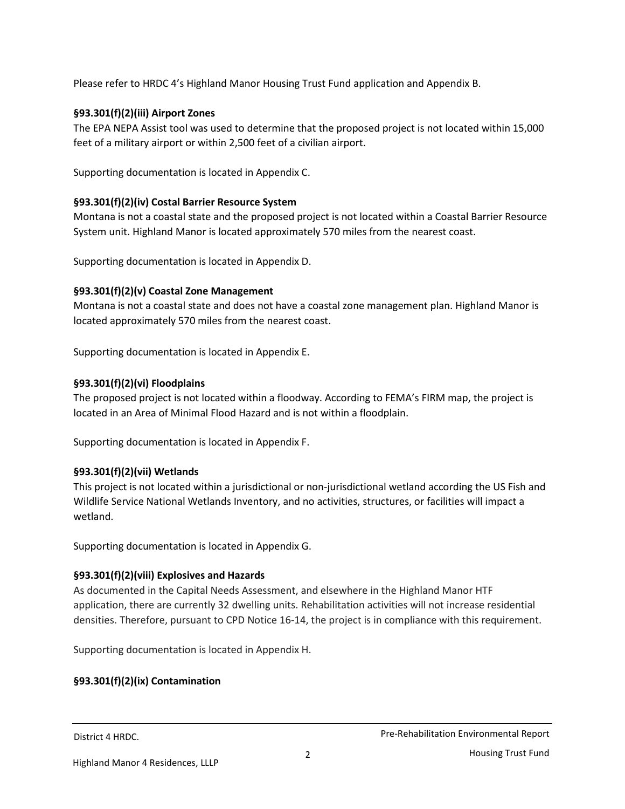Please refer to HRDC 4's Highland Manor Housing Trust Fund application and Appendix B.

### **§93.301(f)(2)(iii) Airport Zones**

The EPA NEPA Assist tool was used to determine that the proposed project is not located within 15,000 feet of a military airport or within 2,500 feet of a civilian airport.

Supporting documentation is located in Appendix C.

### **§93.301(f)(2)(iv) Costal Barrier Resource System**

Montana is not a coastal state and the proposed project is not located within a Coastal Barrier Resource System unit. Highland Manor is located approximately 570 miles from the nearest coast.

Supporting documentation is located in Appendix D.

### **§93.301(f)(2)(v) Coastal Zone Management**

Montana is not a coastal state and does not have a coastal zone management plan. Highland Manor is located approximately 570 miles from the nearest coast.

Supporting documentation is located in Appendix E.

### **§93.301(f)(2)(vi) Floodplains**

The proposed project is not located within a floodway. According to FEMA's FIRM map, the project is located in an Area of Minimal Flood Hazard and is not within a floodplain.

Supporting documentation is located in Appendix F.

### **§93.301(f)(2)(vii) Wetlands**

This project is not located within a jurisdictional or non-jurisdictional wetland according the US Fish and Wildlife Service National Wetlands Inventory, and no activities, structures, or facilities will impact a wetland.

Supporting documentation is located in Appendix G.

### **§93.301(f)(2)(viii) Explosives and Hazards**

As documented in the Capital Needs Assessment, and elsewhere in the Highland Manor HTF application, there are currently 32 dwelling units. Rehabilitation activities will not increase residential densities. Therefore, pursuant to CPD Notice 16-14, the project is in compliance with this requirement.

Supporting documentation is located in Appendix H.

### **§93.301(f)(2)(ix) Contamination**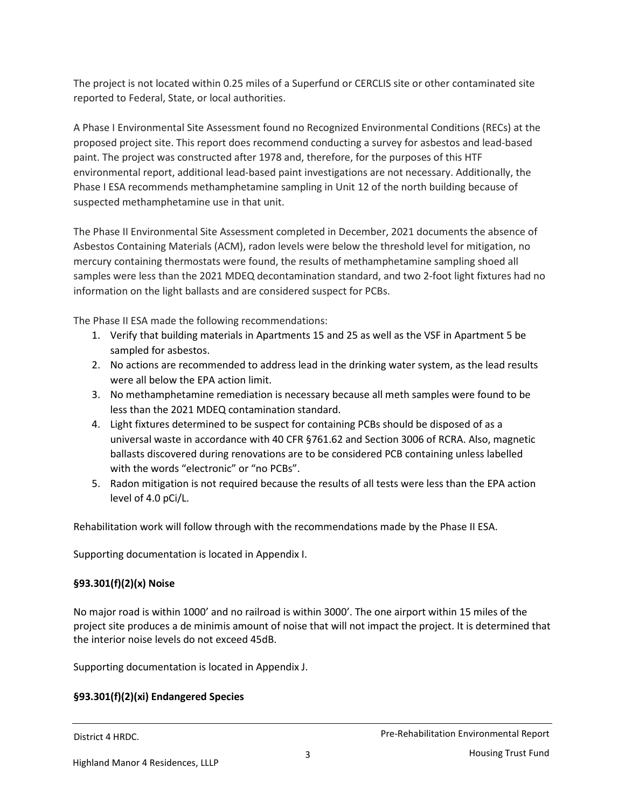The project is not located within 0.25 miles of a Superfund or CERCLIS site or other contaminated site reported to Federal, State, or local authorities.

A Phase I Environmental Site Assessment found no Recognized Environmental Conditions (RECs) at the proposed project site. This report does recommend conducting a survey for asbestos and lead-based paint. The project was constructed after 1978 and, therefore, for the purposes of this HTF environmental report, additional lead-based paint investigations are not necessary. Additionally, the Phase I ESA recommends methamphetamine sampling in Unit 12 of the north building because of suspected methamphetamine use in that unit.

The Phase II Environmental Site Assessment completed in December, 2021 documents the absence of Asbestos Containing Materials (ACM), radon levels were below the threshold level for mitigation, no mercury containing thermostats were found, the results of methamphetamine sampling shoed all samples were less than the 2021 MDEQ decontamination standard, and two 2-foot light fixtures had no information on the light ballasts and are considered suspect for PCBs.

The Phase II ESA made the following recommendations:

- 1. Verify that building materials in Apartments 15 and 25 as well as the VSF in Apartment 5 be sampled for asbestos.
- 2. No actions are recommended to address lead in the drinking water system, as the lead results were all below the EPA action limit.
- 3. No methamphetamine remediation is necessary because all meth samples were found to be less than the 2021 MDEQ contamination standard.
- 4. Light fixtures determined to be suspect for containing PCBs should be disposed of as a universal waste in accordance with 40 CFR §761.62 and Section 3006 of RCRA. Also, magnetic ballasts discovered during renovations are to be considered PCB containing unless labelled with the words "electronic" or "no PCBs".
- 5. Radon mitigation is not required because the results of all tests were less than the EPA action level of 4.0 pCi/L.

Rehabilitation work will follow through with the recommendations made by the Phase II ESA.

Supporting documentation is located in Appendix I.

### **§93.301(f)(2)(x) Noise**

No major road is within 1000' and no railroad is within 3000'. The one airport within 15 miles of the project site produces a de minimis amount of noise that will not impact the project. It is determined that the interior noise levels do not exceed 45dB.

Supporting documentation is located in Appendix J.

# **§93.301(f)(2)(xi) Endangered Species**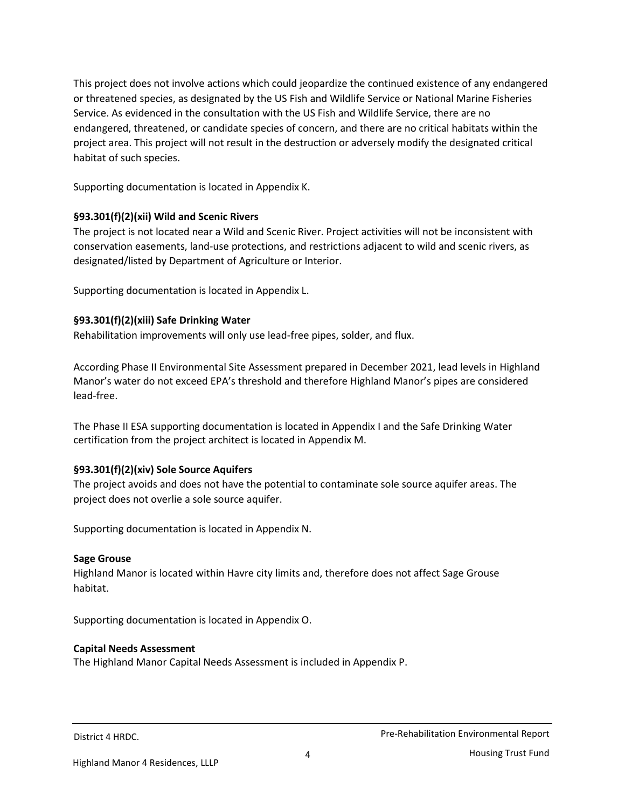This project does not involve actions which could jeopardize the continued existence of any endangered or threatened species, as designated by the US Fish and Wildlife Service or National Marine Fisheries Service. As evidenced in the consultation with the US Fish and Wildlife Service, there are no endangered, threatened, or candidate species of concern, and there are no critical habitats within the project area. This project will not result in the destruction or adversely modify the designated critical habitat of such species.

Supporting documentation is located in Appendix K.

### **§93.301(f)(2)(xii) Wild and Scenic Rivers**

The project is not located near a Wild and Scenic River. Project activities will not be inconsistent with conservation easements, land-use protections, and restrictions adjacent to wild and scenic rivers, as designated/listed by Department of Agriculture or Interior.

Supporting documentation is located in Appendix L.

### **§93.301(f)(2)(xiii) Safe Drinking Water**

Rehabilitation improvements will only use lead-free pipes, solder, and flux.

According Phase II Environmental Site Assessment prepared in December 2021, lead levels in Highland Manor's water do not exceed EPA's threshold and therefore Highland Manor's pipes are considered lead-free.

The Phase II ESA supporting documentation is located in Appendix I and the Safe Drinking Water certification from the project architect is located in Appendix M.

# **§93.301(f)(2)(xiv) Sole Source Aquifers**

The project avoids and does not have the potential to contaminate sole source aquifer areas. The project does not overlie a sole source aquifer.

Supporting documentation is located in Appendix N.

### **Sage Grouse**

Highland Manor is located within Havre city limits and, therefore does not affect Sage Grouse habitat.

Supporting documentation is located in Appendix O.

### **Capital Needs Assessment**

The Highland Manor Capital Needs Assessment is included in Appendix P.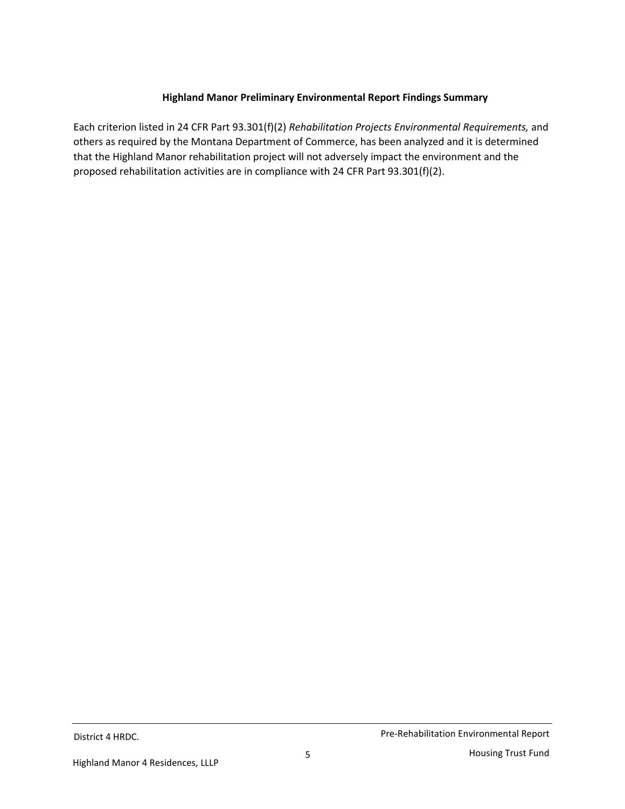## **Highland Manor Preliminary Environmental Report Findings Summary**

Each criterion listed in 24 CFR Part 93.301(f)(2) *Rehabilitation Projects Environmental Requirements,* and others as required by the Montana Department of Commerce, has been analyzed and it is determined that the Highland Manor rehabilitation project will not adversely impact the environment and the proposed rehabilitation activities are in compliance with 24 CFR Part 93.301(f)(2).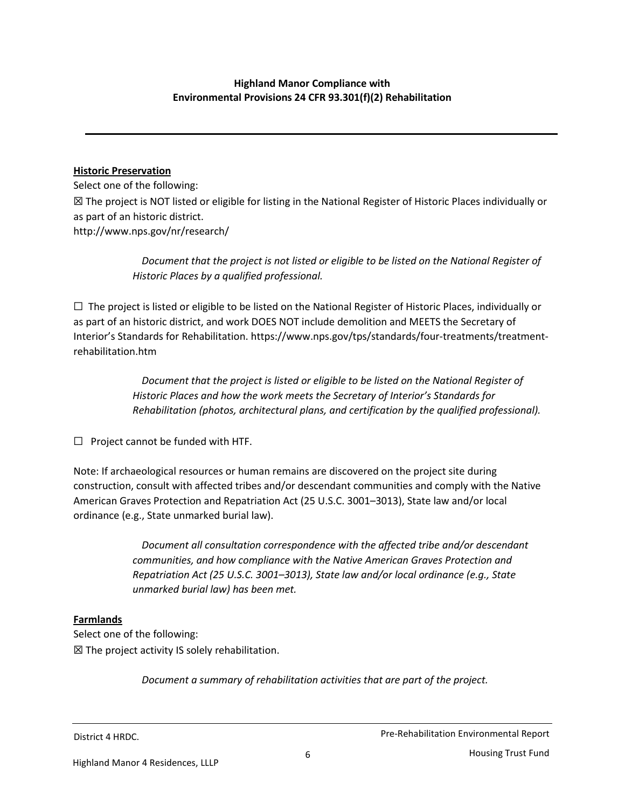# **Highland Manor Compliance with Environmental Provisions 24 CFR 93.301(f)(2) Rehabilitation**

### **Historic Preservation**

Select one of the following: ☒ The project is NOT listed or eligible for listing in the National Register of Historic Places individually or as part of an historic district. http://www.nps.gov/nr/research/

> *Document that the project is not listed or eligible to be listed on the National Register of Historic Places by a qualified professional.*

 $\Box$  The project is listed or eligible to be listed on the National Register of Historic Places, individually or as part of an historic district, and work DOES NOT include demolition and MEETS the Secretary of Interior's Standards for Rehabilitation. https://www.nps.gov/tps/standards/four-treatments/treatmentrehabilitation.htm

> *Document that the project is listed or eligible to be listed on the National Register of Historic Places and how the work meets the Secretary of Interior's Standards for Rehabilitation (photos, architectural plans, and certification by the qualified professional).*

 $\Box$  Project cannot be funded with HTF.

Note: If archaeological resources or human remains are discovered on the project site during construction, consult with affected tribes and/or descendant communities and comply with the Native American Graves Protection and Repatriation Act (25 U.S.C. 3001–3013), State law and/or local ordinance (e.g., State unmarked burial law).

> *Document all consultation correspondence with the affected tribe and/or descendant communities, and how compliance with the Native American Graves Protection and Repatriation Act (25 U.S.C. 3001–3013), State law and/or local ordinance (e.g., State unmarked burial law) has been met.*

### **Farmlands**

Select one of the following:  $\boxtimes$  The project activity IS solely rehabilitation.

*Document a summary of rehabilitation activities that are part of the project.*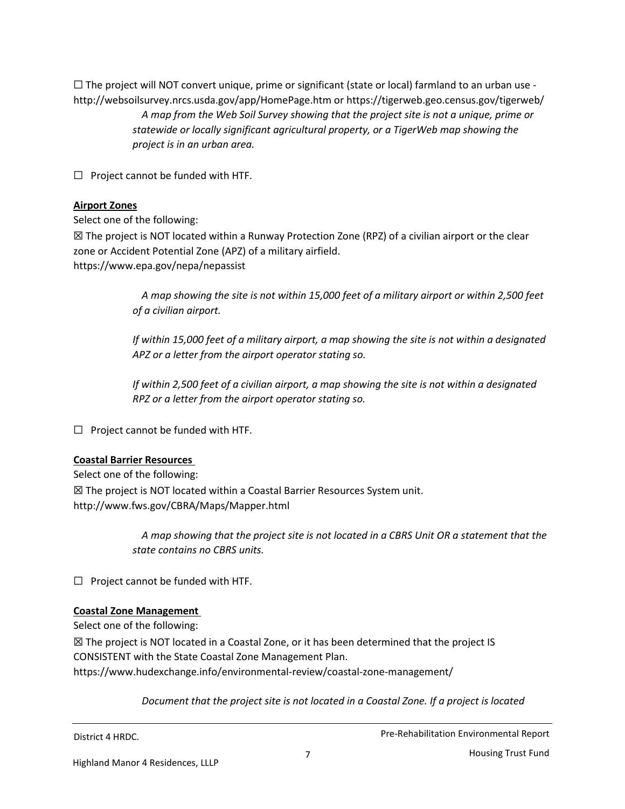$\Box$  The project will NOT convert unique, prime or significant (state or local) farmland to an urban use http://websoilsurvey.nrcs.usda.gov/app/HomePage.htm or https://tigerweb.geo.census.gov/tigerweb/ *A map from the Web Soil Survey showing that the project site is not a unique, prime or statewide or locally significant agricultural property, or a TigerWeb map showing the project is in an urban area.*

 $\Box$  Project cannot be funded with HTF.

### **Airport Zones**

Select one of the following:

 $\boxtimes$  The project is NOT located within a Runway Protection Zone (RPZ) of a civilian airport or the clear zone or Accident Potential Zone (APZ) of a military airfield. https://www.epa.gov/nepa/nepassist

> *A map showing the site is not within 15,000 feet of a military airport or within 2,500 feet of a civilian airport.*

> *If within 15,000 feet of a military airport, a map showing the site is not within a designated APZ or a letter from the airport operator stating so.*

*If within 2,500 feet of a civilian airport, a map showing the site is not within a designated RPZ or a letter from the airport operator stating so.* 

 $\Box$  Project cannot be funded with HTF.

### **Coastal Barrier Resources**

Select one of the following: ☒ The project is NOT located within a Coastal Barrier Resources System unit. http://www.fws.gov/CBRA/Maps/Mapper.html

> *A map showing that the project site is not located in a CBRS Unit OR a statement that the state contains no CBRS units.*

☐ Project cannot be funded with HTF.

### **Coastal Zone Management**

Select one of the following:

 $\boxtimes$  The project is NOT located in a Coastal Zone, or it has been determined that the project IS CONSISTENT with the State Coastal Zone Management Plan. https://www.hudexchange.info/environmental-review/coastal-zone-management/

*Document that the project site is not located in a Coastal Zone. If a project is located*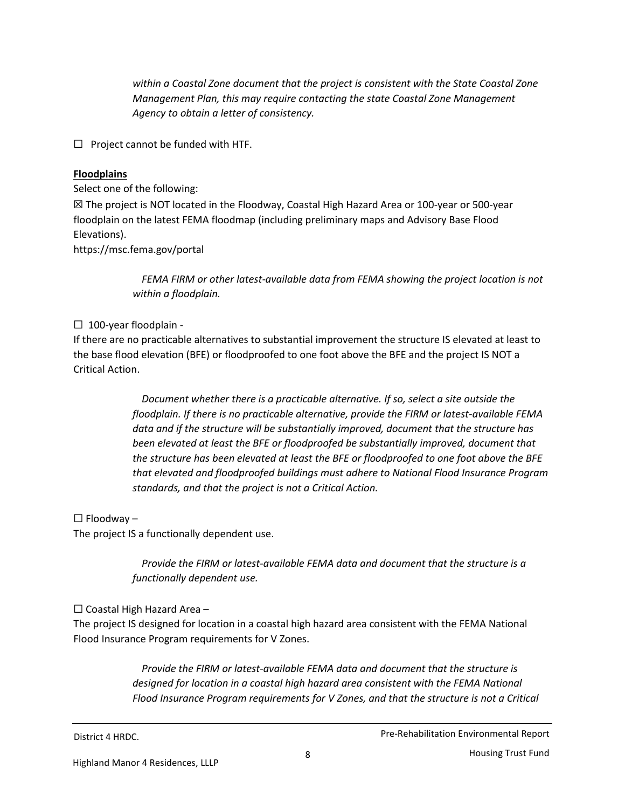*within a Coastal Zone document that the project is consistent with the State Coastal Zone Management Plan, this may require contacting the state Coastal Zone Management Agency to obtain a letter of consistency.* 

☐ Project cannot be funded with HTF.

## **Floodplains**

Select one of the following:

☒ The project is NOT located in the Floodway, Coastal High Hazard Area or 100-year or 500-year floodplain on the latest FEMA floodmap (including preliminary maps and Advisory Base Flood Elevations).

https://msc.fema.gov/portal

*FEMA FIRM or other latest-available data from FEMA showing the project location is not within a floodplain.* 

### ☐ 100-year floodplain -

If there are no practicable alternatives to substantial improvement the structure IS elevated at least to the base flood elevation (BFE) or floodproofed to one foot above the BFE and the project IS NOT a Critical Action.

> *Document whether there is a practicable alternative. If so, select a site outside the floodplain. If there is no practicable alternative, provide the FIRM or latest-available FEMA data and if the structure will be substantially improved, document that the structure has been elevated at least the BFE or floodproofed be substantially improved, document that the structure has been elevated at least the BFE or floodproofed to one foot above the BFE that elevated and floodproofed buildings must adhere to National Flood Insurance Program standards, and that the project is not a Critical Action.*

 $\Box$  Floodway –

The project IS a functionally dependent use.

*Provide the FIRM or latest-available FEMA data and document that the structure is a functionally dependent use.*

# $\Box$  Coastal High Hazard Area –

The project IS designed for location in a coastal high hazard area consistent with the FEMA National Flood Insurance Program requirements for V Zones.

> *Provide the FIRM or latest-available FEMA data and document that the structure is designed for location in a coastal high hazard area consistent with the FEMA National Flood Insurance Program requirements for V Zones, and that the structure is not a Critical*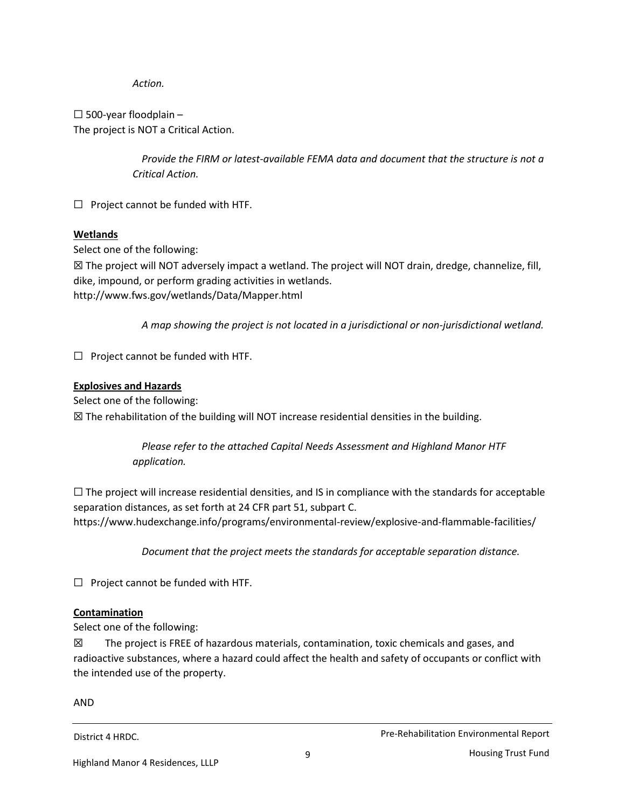*Action.* 

 $\Box$  500-year floodplain -The project is NOT a Critical Action.

> *Provide the FIRM or latest-available FEMA data and document that the structure is not a Critical Action.*

 $\Box$  Project cannot be funded with HTF.

# **Wetlands**

Select one of the following:

 $\boxtimes$  The project will NOT adversely impact a wetland. The project will NOT drain, dredge, channelize, fill, dike, impound, or perform grading activities in wetlands. http://www.fws.gov/wetlands/Data/Mapper.html

*A map showing the project is not located in a jurisdictional or non-jurisdictional wetland.*

 $\Box$  Project cannot be funded with HTF.

### **Explosives and Hazards**

Select one of the following:

☒ The rehabilitation of the building will NOT increase residential densities in the building.

*Please refer to the attached Capital Needs Assessment and Highland Manor HTF application.*

 $\Box$  The project will increase residential densities, and IS in compliance with the standards for acceptable separation distances, as set forth at 24 CFR part 51, subpart C. https://www.hudexchange.info/programs/environmental-review/explosive-and-flammable-facilities/

*Document that the project meets the standards for acceptable separation distance.*

 $\Box$  Project cannot be funded with HTF.

# **Contamination**

Select one of the following:

 $\boxtimes$  The project is FREE of hazardous materials, contamination, toxic chemicals and gases, and radioactive substances, where a hazard could affect the health and safety of occupants or conflict with the intended use of the property.

AND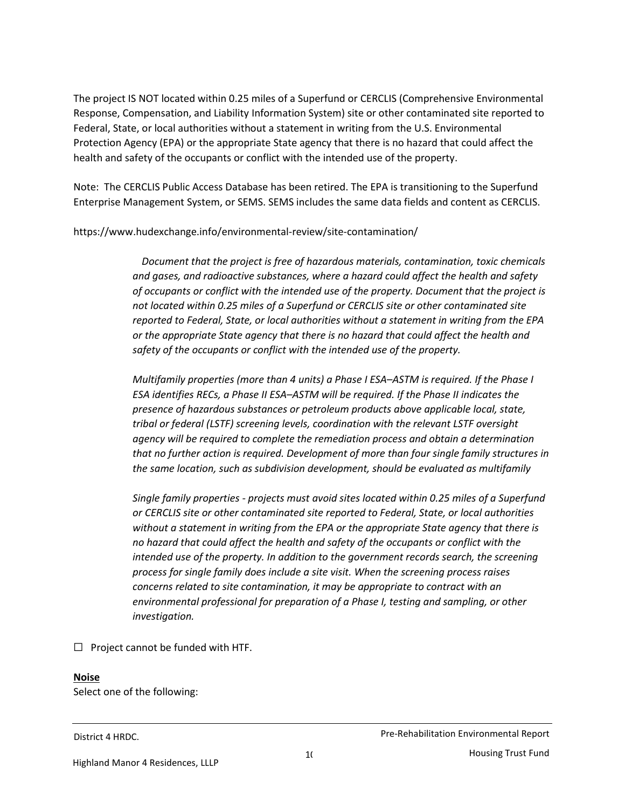The project IS NOT located within 0.25 miles of a Superfund or CERCLIS (Comprehensive Environmental Response, Compensation, and Liability Information System) site or other contaminated site reported to Federal, State, or local authorities without a statement in writing from the U.S. Environmental Protection Agency (EPA) or the appropriate State agency that there is no hazard that could affect the health and safety of the occupants or conflict with the intended use of the property.

Note: The CERCLIS Public Access Database has been retired. The EPA is transitioning to the Superfund Enterprise Management System, or SEMS. SEMS includes the same data fields and content as CERCLIS.

https://www.hudexchange.info/environmental-review/site-contamination/

*Document that the project is free of hazardous materials, contamination, toxic chemicals and gases, and radioactive substances, where a hazard could affect the health and safety of occupants or conflict with the intended use of the property. Document that the project is not located within 0.25 miles of a Superfund or CERCLIS site or other contaminated site reported to Federal, State, or local authorities without a statement in writing from the EPA or the appropriate State agency that there is no hazard that could affect the health and safety of the occupants or conflict with the intended use of the property.*

*Multifamily properties (more than 4 units) a Phase I ESA–ASTM is required. If the Phase I ESA identifies RECs, a Phase II ESA–ASTM will be required. If the Phase II indicates the presence of hazardous substances or petroleum products above applicable local, state, tribal or federal (LSTF) screening levels, coordination with the relevant LSTF oversight agency will be required to complete the remediation process and obtain a determination that no further action is required. Development of more than four single family structures in the same location, such as subdivision development, should be evaluated as multifamily*

*Single family properties - projects must avoid sites located within 0.25 miles of a Superfund or CERCLIS site or other contaminated site reported to Federal, State, or local authorities without a statement in writing from the EPA or the appropriate State agency that there is no hazard that could affect the health and safety of the occupants or conflict with the intended use of the property. In addition to the government records search, the screening process for single family does include a site visit. When the screening process raises concerns related to site contamination, it may be appropriate to contract with an environmental professional for preparation of a Phase I, testing and sampling, or other investigation.*

 $\Box$  Project cannot be funded with HTF.

### **Noise**

Select one of the following: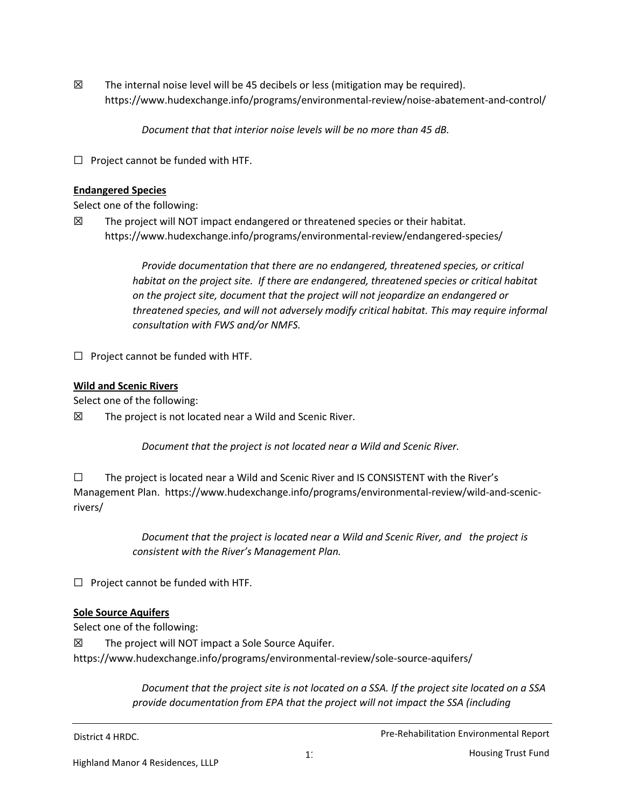$\boxtimes$  The internal noise level will be 45 decibels or less (mitigation may be required). https://www.hudexchange.info/programs/environmental-review/noise-abatement-and-control/

*Document that that interior noise levels will be no more than 45 dB.*

☐ Project cannot be funded with HTF.

### **Endangered Species**

Select one of the following:

 $\boxtimes$  The project will NOT impact endangered or threatened species or their habitat. https://www.hudexchange.info/programs/environmental-review/endangered-species/

> *Provide documentation that there are no endangered, threatened species, or critical habitat on the project site. If there are endangered, threatened species or critical habitat on the project site, document that the project will not jeopardize an endangered or threatened species, and will not adversely modify critical habitat. This may require informal consultation with FWS and/or NMFS.*

 $\Box$  Project cannot be funded with HTF.

### **Wild and Scenic Rivers**

Select one of the following:

 $\boxtimes$  The project is not located near a Wild and Scenic River.

*Document that the project is not located near a Wild and Scenic River.* 

☐ The project is located near a Wild and Scenic River and IS CONSISTENT with the River's Management Plan. https://www.hudexchange.info/programs/environmental-review/wild-and-scenicrivers/

> *Document that the project is located near a Wild and Scenic River, and the project is consistent with the River's Management Plan.*

 $\Box$  Project cannot be funded with HTF.

# **Sole Source Aquifers**

Select one of the following:

 $\boxtimes$  The project will NOT impact a Sole Source Aquifer. https://www.hudexchange.info/programs/environmental-review/sole-source-aquifers/

> *Document that the project site is not located on a SSA. If the project site located on a SSA provide documentation from EPA that the project will not impact the SSA (including*

District 4 HRDC. **Pre-Rehabilitation Environmental Report** ...